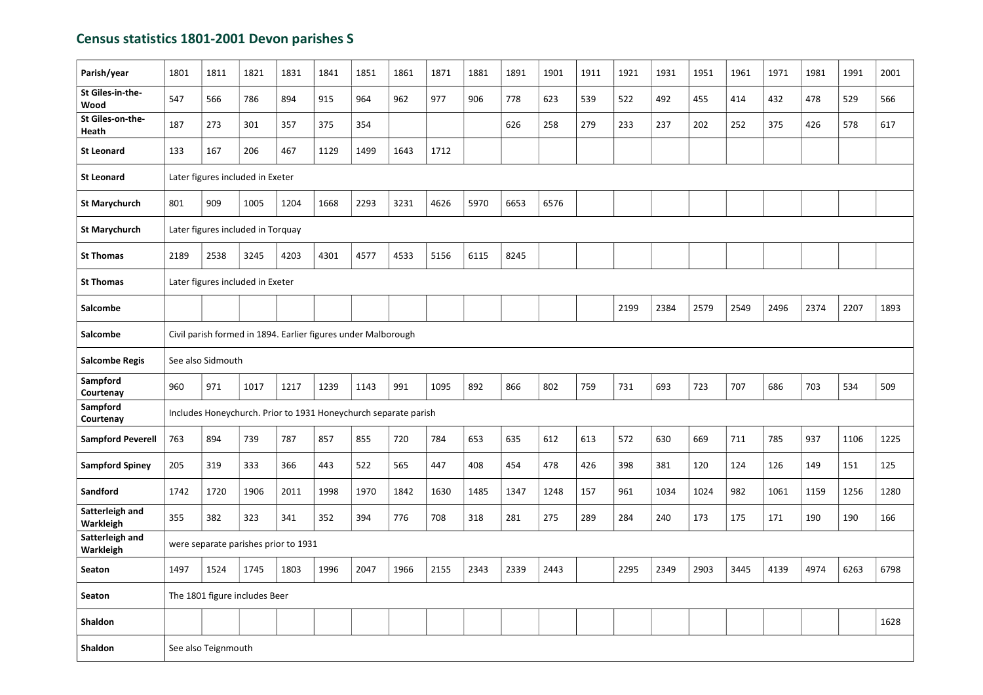## Census statistics 1801-2001 Devon parishes S

| Parish/year                  | 1801                                                          | 1811                                                            | 1821 | 1831 | 1841 | 1851 | 1861 | 1871 | 1881 | 1891 | 1901 | 1911 | 1921 | 1931 | 1951 | 1961 | 1971 | 1981 | 1991 | 2001 |
|------------------------------|---------------------------------------------------------------|-----------------------------------------------------------------|------|------|------|------|------|------|------|------|------|------|------|------|------|------|------|------|------|------|
| St Giles-in-the-<br>Wood     | 547                                                           | 566                                                             | 786  | 894  | 915  | 964  | 962  | 977  | 906  | 778  | 623  | 539  | 522  | 492  | 455  | 414  | 432  | 478  | 529  | 566  |
| St Giles-on-the-<br>Heath    | 187                                                           | 273                                                             | 301  | 357  | 375  | 354  |      |      |      | 626  | 258  | 279  | 233  | 237  | 202  | 252  | 375  | 426  | 578  | 617  |
| <b>St Leonard</b>            | 133                                                           | 167                                                             | 206  | 467  | 1129 | 1499 | 1643 | 1712 |      |      |      |      |      |      |      |      |      |      |      |      |
| <b>St Leonard</b>            |                                                               | Later figures included in Exeter                                |      |      |      |      |      |      |      |      |      |      |      |      |      |      |      |      |      |      |
| <b>St Marychurch</b>         | 801                                                           | 909                                                             | 1005 | 1204 | 1668 | 2293 | 3231 | 4626 | 5970 | 6653 | 6576 |      |      |      |      |      |      |      |      |      |
| <b>St Marychurch</b>         |                                                               | Later figures included in Torquay                               |      |      |      |      |      |      |      |      |      |      |      |      |      |      |      |      |      |      |
| <b>St Thomas</b>             | 2189                                                          | 2538                                                            | 3245 | 4203 | 4301 | 4577 | 4533 | 5156 | 6115 | 8245 |      |      |      |      |      |      |      |      |      |      |
| <b>St Thomas</b>             | Later figures included in Exeter                              |                                                                 |      |      |      |      |      |      |      |      |      |      |      |      |      |      |      |      |      |      |
| Salcombe                     |                                                               |                                                                 |      |      |      |      |      |      |      |      |      |      | 2199 | 2384 | 2579 | 2549 | 2496 | 2374 | 2207 | 1893 |
| <b>Salcombe</b>              | Civil parish formed in 1894. Earlier figures under Malborough |                                                                 |      |      |      |      |      |      |      |      |      |      |      |      |      |      |      |      |      |      |
| <b>Salcombe Regis</b>        | See also Sidmouth                                             |                                                                 |      |      |      |      |      |      |      |      |      |      |      |      |      |      |      |      |      |      |
| Sampford<br>Courtenay        | 960                                                           | 971                                                             | 1017 | 1217 | 1239 | 1143 | 991  | 1095 | 892  | 866  | 802  | 759  | 731  | 693  | 723  | 707  | 686  | 703  | 534  | 509  |
| Sampford<br>Courtenay        |                                                               | Includes Honeychurch. Prior to 1931 Honeychurch separate parish |      |      |      |      |      |      |      |      |      |      |      |      |      |      |      |      |      |      |
| <b>Sampford Peverell</b>     | 763                                                           | 894                                                             | 739  | 787  | 857  | 855  | 720  | 784  | 653  | 635  | 612  | 613  | 572  | 630  | 669  | 711  | 785  | 937  | 1106 | 1225 |
| <b>Sampford Spiney</b>       | 205                                                           | 319                                                             | 333  | 366  | 443  | 522  | 565  | 447  | 408  | 454  | 478  | 426  | 398  | 381  | 120  | 124  | 126  | 149  | 151  | 125  |
| Sandford                     | 1742                                                          | 1720                                                            | 1906 | 2011 | 1998 | 1970 | 1842 | 1630 | 1485 | 1347 | 1248 | 157  | 961  | 1034 | 1024 | 982  | 1061 | 1159 | 1256 | 1280 |
| Satterleigh and<br>Warkleigh | 355                                                           | 382                                                             | 323  | 341  | 352  | 394  | 776  | 708  | 318  | 281  | 275  | 289  | 284  | 240  | 173  | 175  | 171  | 190  | 190  | 166  |
| Satterleigh and<br>Warkleigh |                                                               | were separate parishes prior to 1931                            |      |      |      |      |      |      |      |      |      |      |      |      |      |      |      |      |      |      |
| Seaton                       | 1497                                                          | 1524                                                            | 1745 | 1803 | 1996 | 2047 | 1966 | 2155 | 2343 | 2339 | 2443 |      | 2295 | 2349 | 2903 | 3445 | 4139 | 4974 | 6263 | 6798 |
| Seaton                       |                                                               | The 1801 figure includes Beer                                   |      |      |      |      |      |      |      |      |      |      |      |      |      |      |      |      |      |      |
| Shaldon                      |                                                               |                                                                 |      |      |      |      |      |      |      |      |      |      |      |      |      |      |      |      |      | 1628 |
| Shaldon                      |                                                               | See also Teignmouth                                             |      |      |      |      |      |      |      |      |      |      |      |      |      |      |      |      |      |      |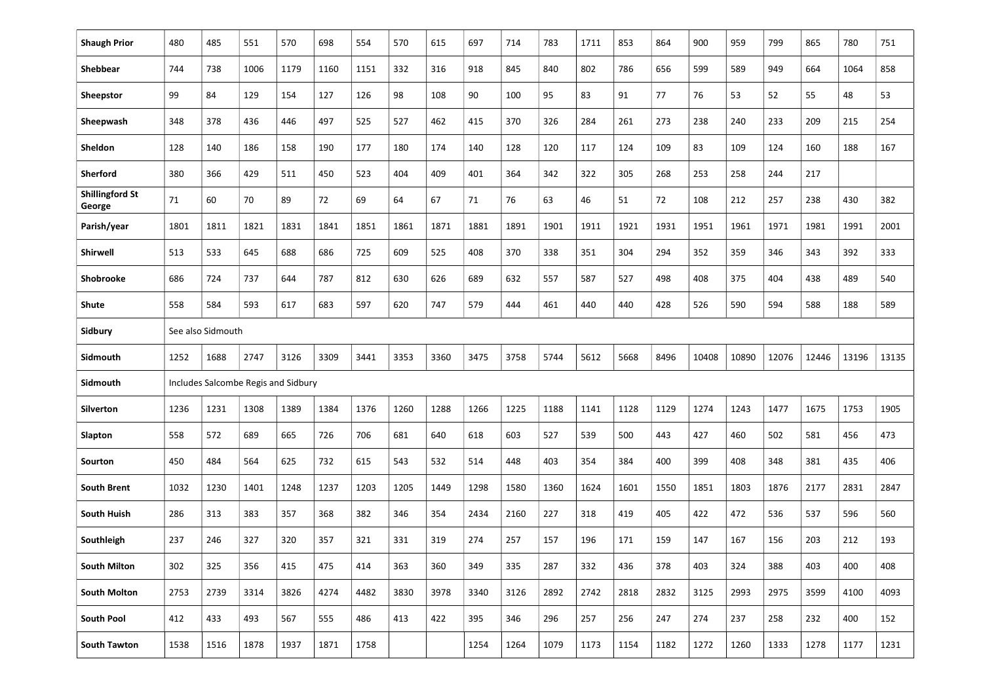| <b>Shaugh Prior</b>              | 480                                 | 485  | 551  | 570  | 698  | 554  | 570  | 615  | 697  | 714  | 783  | 1711 | 853  | 864  | 900   | 959   | 799   | 865   | 780   | 751   |
|----------------------------------|-------------------------------------|------|------|------|------|------|------|------|------|------|------|------|------|------|-------|-------|-------|-------|-------|-------|
| Shebbear                         | 744                                 | 738  | 1006 | 1179 | 1160 | 1151 | 332  | 316  | 918  | 845  | 840  | 802  | 786  | 656  | 599   | 589   | 949   | 664   | 1064  | 858   |
| Sheepstor                        | 99                                  | 84   | 129  | 154  | 127  | 126  | 98   | 108  | 90   | 100  | 95   | 83   | 91   | 77   | 76    | 53    | 52    | 55    | 48    | 53    |
| Sheepwash                        | 348                                 | 378  | 436  | 446  | 497  | 525  | 527  | 462  | 415  | 370  | 326  | 284  | 261  | 273  | 238   | 240   | 233   | 209   | 215   | 254   |
| Sheldon                          | 128                                 | 140  | 186  | 158  | 190  | 177  | 180  | 174  | 140  | 128  | 120  | 117  | 124  | 109  | 83    | 109   | 124   | 160   | 188   | 167   |
| <b>Sherford</b>                  | 380                                 | 366  | 429  | 511  | 450  | 523  | 404  | 409  | 401  | 364  | 342  | 322  | 305  | 268  | 253   | 258   | 244   | 217   |       |       |
| <b>Shillingford St</b><br>George | 71                                  | 60   | 70   | 89   | 72   | 69   | 64   | 67   | 71   | 76   | 63   | 46   | 51   | 72   | 108   | 212   | 257   | 238   | 430   | 382   |
| Parish/year                      | 1801                                | 1811 | 1821 | 1831 | 1841 | 1851 | 1861 | 1871 | 1881 | 1891 | 1901 | 1911 | 1921 | 1931 | 1951  | 1961  | 1971  | 1981  | 1991  | 2001  |
| Shirwell                         | 513                                 | 533  | 645  | 688  | 686  | 725  | 609  | 525  | 408  | 370  | 338  | 351  | 304  | 294  | 352   | 359   | 346   | 343   | 392   | 333   |
| Shobrooke                        | 686                                 | 724  | 737  | 644  | 787  | 812  | 630  | 626  | 689  | 632  | 557  | 587  | 527  | 498  | 408   | 375   | 404   | 438   | 489   | 540   |
| Shute                            | 558                                 | 584  | 593  | 617  | 683  | 597  | 620  | 747  | 579  | 444  | 461  | 440  | 440  | 428  | 526   | 590   | 594   | 588   | 188   | 589   |
| Sidbury                          | See also Sidmouth                   |      |      |      |      |      |      |      |      |      |      |      |      |      |       |       |       |       |       |       |
| Sidmouth                         | 1252                                | 1688 | 2747 | 3126 | 3309 | 3441 | 3353 | 3360 | 3475 | 3758 | 5744 | 5612 | 5668 | 8496 | 10408 | 10890 | 12076 | 12446 | 13196 | 13135 |
| Sidmouth                         | Includes Salcombe Regis and Sidbury |      |      |      |      |      |      |      |      |      |      |      |      |      |       |       |       |       |       |       |
| Silverton                        | 1236                                | 1231 | 1308 | 1389 | 1384 | 1376 | 1260 | 1288 | 1266 | 1225 | 1188 | 1141 | 1128 | 1129 | 1274  | 1243  | 1477  | 1675  | 1753  | 1905  |
| Slapton                          | 558                                 | 572  | 689  | 665  | 726  | 706  | 681  | 640  | 618  | 603  | 527  | 539  | 500  | 443  | 427   | 460   | 502   | 581   | 456   | 473   |
| Sourton                          | 450                                 | 484  | 564  | 625  | 732  | 615  | 543  | 532  | 514  | 448  | 403  | 354  | 384  | 400  | 399   | 408   | 348   | 381   | 435   | 406   |
| <b>South Brent</b>               | 1032                                | 1230 | 1401 | 1248 | 1237 | 1203 | 1205 | 1449 | 1298 | 1580 | 1360 | 1624 | 1601 | 1550 | 1851  | 1803  | 1876  | 2177  | 2831  | 2847  |
| <b>South Huish</b>               | 286                                 | 313  | 383  | 357  | 368  | 382  | 346  | 354  | 2434 | 2160 | 227  | 318  | 419  | 405  | 422   | 472   | 536   | 537   | 596   | 560   |
| Southleigh                       | 237                                 | 246  | 327  | 320  | 357  | 321  | 331  | 319  | 274  | 257  | 157  | 196  | 171  | 159  | 147   | 167   | 156   | 203   | 212   | 193   |
| <b>South Milton</b>              | 302                                 | 325  | 356  | 415  | 475  | 414  | 363  | 360  | 349  | 335  | 287  | 332  | 436  | 378  | 403   | 324   | 388   | 403   | 400   | 408   |
| <b>South Molton</b>              | 2753                                | 2739 | 3314 | 3826 | 4274 | 4482 | 3830 | 3978 | 3340 | 3126 | 2892 | 2742 | 2818 | 2832 | 3125  | 2993  | 2975  | 3599  | 4100  | 4093  |
| <b>South Pool</b>                | 412                                 | 433  | 493  | 567  | 555  | 486  | 413  | 422  | 395  | 346  | 296  | 257  | 256  | 247  | 274   | 237   | 258   | 232   | 400   | 152   |
| <b>South Tawton</b>              | 1538                                | 1516 | 1878 | 1937 | 1871 | 1758 |      |      | 1254 | 1264 | 1079 | 1173 | 1154 | 1182 | 1272  | 1260  | 1333  | 1278  | 1177  | 1231  |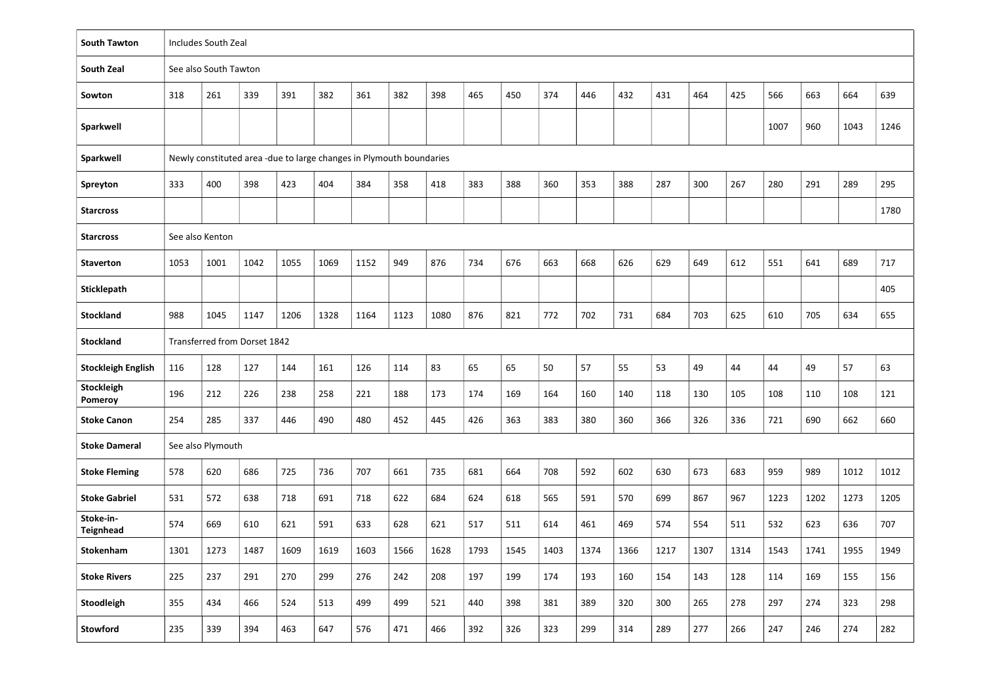| <b>South Tawton</b>           | Includes South Zeal          |                       |      |                                                                    |      |      |      |      |      |      |      |      |      |      |      |      |      |      |      |      |
|-------------------------------|------------------------------|-----------------------|------|--------------------------------------------------------------------|------|------|------|------|------|------|------|------|------|------|------|------|------|------|------|------|
| <b>South Zeal</b>             |                              | See also South Tawton |      |                                                                    |      |      |      |      |      |      |      |      |      |      |      |      |      |      |      |      |
| Sowton                        | 318                          | 261                   | 339  | 391                                                                | 382  | 361  | 382  | 398  | 465  | 450  | 374  | 446  | 432  | 431  | 464  | 425  | 566  | 663  | 664  | 639  |
| <b>Sparkwell</b>              |                              |                       |      |                                                                    |      |      |      |      |      |      |      |      |      |      |      |      | 1007 | 960  | 1043 | 1246 |
| Sparkwell                     |                              |                       |      | Newly constituted area-due to large changes in Plymouth boundaries |      |      |      |      |      |      |      |      |      |      |      |      |      |      |      |      |
| Spreyton                      | 333                          | 400                   | 398  | 423                                                                | 404  | 384  | 358  | 418  | 383  | 388  | 360  | 353  | 388  | 287  | 300  | 267  | 280  | 291  | 289  | 295  |
| <b>Starcross</b>              |                              |                       |      |                                                                    |      |      |      |      |      |      |      |      |      |      |      |      |      |      |      | 1780 |
| <b>Starcross</b>              | See also Kenton              |                       |      |                                                                    |      |      |      |      |      |      |      |      |      |      |      |      |      |      |      |      |
| <b>Staverton</b>              | 1053                         | 1001                  | 1042 | 1055                                                               | 1069 | 1152 | 949  | 876  | 734  | 676  | 663  | 668  | 626  | 629  | 649  | 612  | 551  | 641  | 689  | 717  |
| <b>Sticklepath</b>            |                              |                       |      |                                                                    |      |      |      |      |      |      |      |      |      |      |      |      |      |      |      | 405  |
| <b>Stockland</b>              | 988                          | 1045                  | 1147 | 1206                                                               | 1328 | 1164 | 1123 | 1080 | 876  | 821  | 772  | 702  | 731  | 684  | 703  | 625  | 610  | 705  | 634  | 655  |
| <b>Stockland</b>              | Transferred from Dorset 1842 |                       |      |                                                                    |      |      |      |      |      |      |      |      |      |      |      |      |      |      |      |      |
| <b>Stockleigh English</b>     | 116                          | 128                   | 127  | 144                                                                | 161  | 126  | 114  | 83   | 65   | 65   | 50   | 57   | 55   | 53   | 49   | 44   | 44   | 49   | 57   | 63   |
| Stockleigh<br>Pomeroy         | 196                          | 212                   | 226  | 238                                                                | 258  | 221  | 188  | 173  | 174  | 169  | 164  | 160  | 140  | 118  | 130  | 105  | 108  | 110  | 108  | 121  |
| <b>Stoke Canon</b>            | 254                          | 285                   | 337  | 446                                                                | 490  | 480  | 452  | 445  | 426  | 363  | 383  | 380  | 360  | 366  | 326  | 336  | 721  | 690  | 662  | 660  |
| <b>Stoke Dameral</b>          |                              | See also Plymouth     |      |                                                                    |      |      |      |      |      |      |      |      |      |      |      |      |      |      |      |      |
| <b>Stoke Fleming</b>          | 578                          | 620                   | 686  | 725                                                                | 736  | 707  | 661  | 735  | 681  | 664  | 708  | 592  | 602  | 630  | 673  | 683  | 959  | 989  | 1012 | 1012 |
| <b>Stoke Gabriel</b>          | 531                          | 572                   | 638  | 718                                                                | 691  | 718  | 622  | 684  | 624  | 618  | 565  | 591  | 570  | 699  | 867  | 967  | 1223 | 1202 | 1273 | 1205 |
| Stoke-in-<br><b>Teignhead</b> | 574                          | 669                   | 610  | 621                                                                | 591  | 633  | 628  | 621  | 517  | 511  | 614  | 461  | 469  | 574  | 554  | 511  | 532  | 623  | 636  | 707  |
| Stokenham                     | 1301                         | 1273                  | 1487 | 1609                                                               | 1619 | 1603 | 1566 | 1628 | 1793 | 1545 | 1403 | 1374 | 1366 | 1217 | 1307 | 1314 | 1543 | 1741 | 1955 | 1949 |
| <b>Stoke Rivers</b>           | 225                          | 237                   | 291  | 270                                                                | 299  | 276  | 242  | 208  | 197  | 199  | 174  | 193  | 160  | 154  | 143  | 128  | 114  | 169  | 155  | 156  |
| Stoodleigh                    | 355                          | 434                   | 466  | 524                                                                | 513  | 499  | 499  | 521  | 440  | 398  | 381  | 389  | 320  | 300  | 265  | 278  | 297  | 274  | 323  | 298  |
| Stowford                      | 235                          | 339                   | 394  | 463                                                                | 647  | 576  | 471  | 466  | 392  | 326  | 323  | 299  | 314  | 289  | 277  | 266  | 247  | 246  | 274  | 282  |